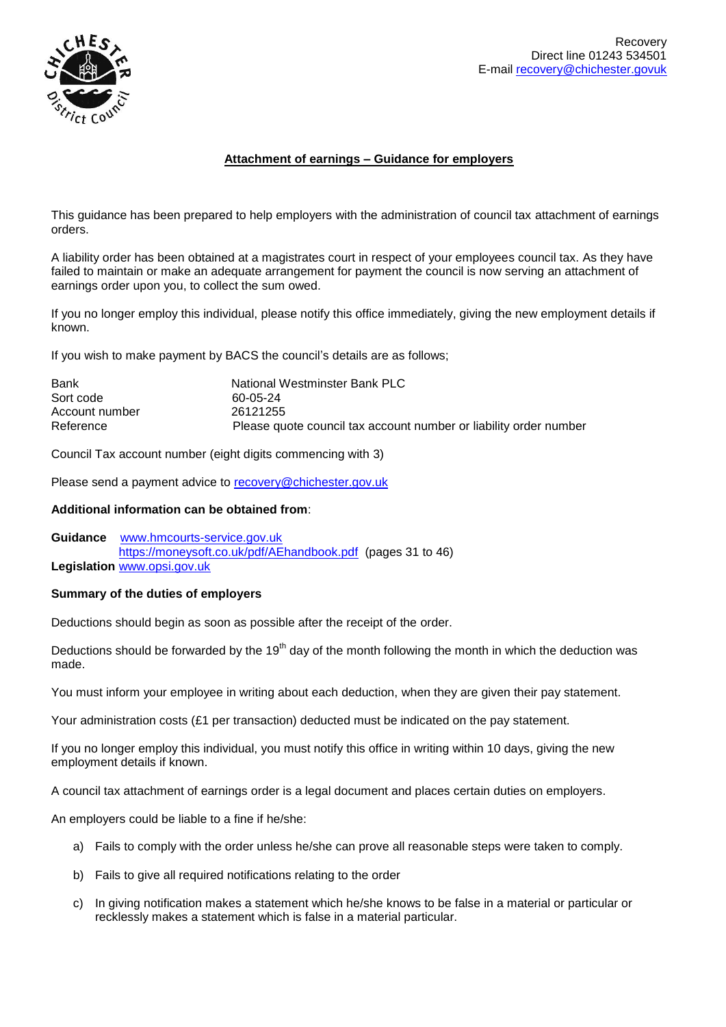

# **Attachment of earnings – Guidance for employers**

This guidance has been prepared to help employers with the administration of council tax attachment of earnings orders.

A liability order has been obtained at a magistrates court in respect of your employees council tax. As they have failed to maintain or make an adequate arrangement for payment the council is now serving an attachment of earnings order upon you, to collect the sum owed.

If you no longer employ this individual, please notify this office immediately, giving the new employment details if known.

If you wish to make payment by BACS the council's details are as follows;

| Bank           | National Westminster Bank PLC                                     |
|----------------|-------------------------------------------------------------------|
| Sort code      | 60-05-24                                                          |
| Account number | 26121255                                                          |
| Reference      | Please quote council tax account number or liability order number |

Council Tax account number (eight digits commencing with 3)

Please send a payment advice to [recovery@chichester.gov.uk](mailto:recovery@chichester.gov.uk)

### **Additional information can be obtained from**:

**Guidance** [www.hmcourts-service.gov.uk](http://www.hmcourts-service.gov.uk/) <https://moneysoft.co.uk/pdf/AEhandbook.pdf>(pages 31 to 46) **Legislation** [www.opsi.gov.uk](http://www.opsi.gov.uk/) 

### **Summary of the duties of employers**

Deductions should begin as soon as possible after the receipt of the order.

Deductions should be forwarded by the 19<sup>th</sup> day of the month following the month in which the deduction was made.

You must inform your employee in writing about each deduction, when they are given their pay statement.

Your administration costs (£1 per transaction) deducted must be indicated on the pay statement.

If you no longer employ this individual, you must notify this office in writing within 10 days, giving the new employment details if known.

A council tax attachment of earnings order is a legal document and places certain duties on employers.

An employers could be liable to a fine if he/she:

- a) Fails to comply with the order unless he/she can prove all reasonable steps were taken to comply.
- b) Fails to give all required notifications relating to the order
- c) In giving notification makes a statement which he/she knows to be false in a material or particular or recklessly makes a statement which is false in a material particular.